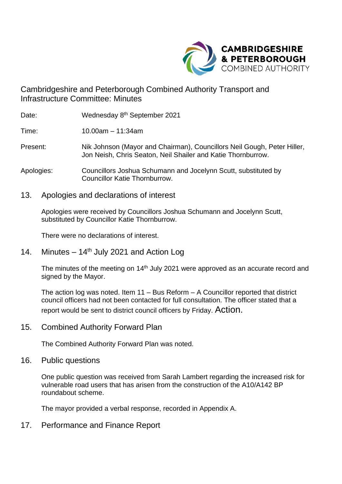

Cambridgeshire and Peterborough Combined Authority Transport and Infrastructure Committee: Minutes

Date: Wednesday 8<sup>th</sup> September 2021

Time: 10.00am – 11:34am

- Present: Nik Johnson (Mayor and Chairman), Councillors Neil Gough, Peter Hiller, Jon Neish, Chris Seaton, Neil Shailer and Katie Thornburrow.
- Apologies: Councillors Joshua Schumann and Jocelynn Scutt, substituted by Councillor Katie Thornburrow.
- 13. Apologies and declarations of interest

Apologies were received by Councillors Joshua Schumann and Jocelynn Scutt, substituted by Councillor Katie Thornburrow.

There were no declarations of interest.

14. Minutes  $-14^{th}$  July 2021 and Action Log

The minutes of the meeting on 14<sup>th</sup> July 2021 were approved as an accurate record and signed by the Mayor.

The action log was noted. Item 11 – Bus Reform – A Councillor reported that district council officers had not been contacted for full consultation. The officer stated that a report would be sent to district council officers by Friday. Action.

15. Combined Authority Forward Plan

The Combined Authority Forward Plan was noted.

16. Public questions

One public question was received from Sarah Lambert regarding the increased risk for vulnerable road users that has arisen from the construction of the A10/A142 BP roundabout scheme.

The mayor provided a verbal response, recorded in Appendix A.

17. Performance and Finance Report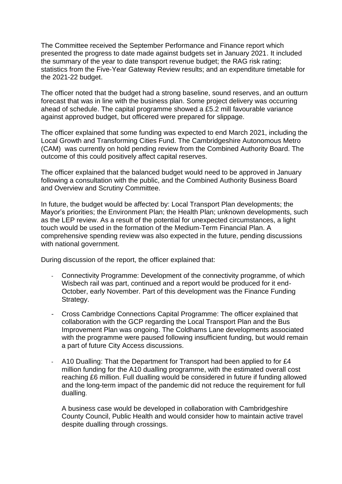The Committee received the September Performance and Finance report which presented the progress to date made against budgets set in January 2021. It included the summary of the year to date transport revenue budget; the RAG risk rating; statistics from the Five-Year Gateway Review results; and an expenditure timetable for the 2021-22 budget.

The officer noted that the budget had a strong baseline, sound reserves, and an outturn forecast that was in line with the business plan. Some project delivery was occurring ahead of schedule. The capital programme showed a £5.2 mill favourable variance against approved budget, but officered were prepared for slippage.

The officer explained that some funding was expected to end March 2021, including the Local Growth and Transforming Cities Fund. The Cambridgeshire Autonomous Metro (CAM) was currently on hold pending review from the Combined Authority Board. The outcome of this could positively affect capital reserves.

The officer explained that the balanced budget would need to be approved in January following a consultation with the public, and the Combined Authority Business Board and Overview and Scrutiny Committee.

In future, the budget would be affected by: Local Transport Plan developments; the Mayor's priorities; the Environment Plan; the Health Plan; unknown developments, such as the LEP review. As a result of the potential for unexpected circumstances, a light touch would be used in the formation of the Medium-Term Financial Plan. A comprehensive spending review was also expected in the future, pending discussions with national government.

During discussion of the report, the officer explained that:

- Connectivity Programme: Development of the connectivity programme, of which Wisbech rail was part, continued and a report would be produced for it end-October, early November. Part of this development was the Finance Funding Strategy.
- Cross Cambridge Connections Capital Programme: The officer explained that collaboration with the GCP regarding the Local Transport Plan and the Bus Improvement Plan was ongoing. The Coldhams Lane developments associated with the programme were paused following insufficient funding, but would remain a part of future City Access discussions.
- A10 Dualling: That the Department for Transport had been applied to for £4 million funding for the A10 dualling programme, with the estimated overall cost reaching £6 million. Full dualling would be considered in future if funding allowed and the long-term impact of the pandemic did not reduce the requirement for full dualling.

A business case would be developed in collaboration with Cambridgeshire County Council, Public Health and would consider how to maintain active travel despite dualling through crossings.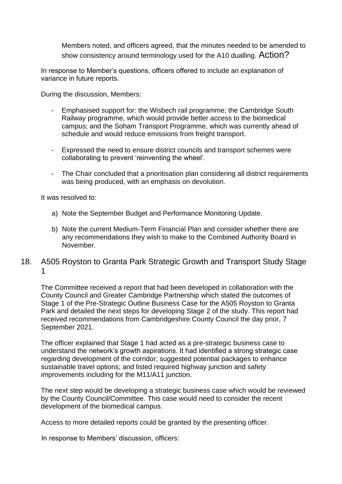Members noted, and officers agreed, that the minutes needed to be amended to show consistency around terminology used for the A10 dualling. Action?

In response to Member's questions, officers offered to include an explanation of variance in future reports.

During the discussion, Members:

- Emphasised support for: the Wisbech rail programme; the Cambridge South Railway programme, which would provide better access to the biomedical campus; and the Soham Transport Programme, which was currently ahead of schedule and would reduce emissions from freight transport.
- Expressed the need to ensure district councils and transport schemes were collaborating to prevent 'reinventing the wheel'.
- The Chair concluded that a prioritisation plan considering all district requirements was being produced, with an emphasis on devolution.

It was resolved to:

- a) Note the September Budget and Performance Monitoring Update.
- b) Note the current Medium-Term Financial Plan and consider whether there are any recommendations they wish to make to the Combined Authority Board in November.

#### 18. A505 Royston to Granta Park Strategic Growth and Transport Study Stage 1

The Committee received a report that had been developed in collaboration with the County Council and Greater Cambridge Partnership which stated the outcomes of Stage 1 of the Pre-Strategic Outline Business Case for the A505 Royston to Granta Park and detailed the next steps for developing Stage 2 of the study. This report had received recommendations from Cambridgeshire County Council the day prior, 7 September 2021.

The officer explained that Stage 1 had acted as a pre-strategic business case to understand the network's growth aspirations. It had identified a strong strategic case regarding development of the corridor; suggested potential packages to enhance sustainable travel options; and listed required highway junction and safety improvements including for the M11/A11 junction.

The next step would be developing a strategic business case which would be reviewed by the County Council/Committee. This case would need to consider the recent development of the biomedical campus.

Access to more detailed reports could be granted by the presenting officer.

In response to Members' discussion, officers: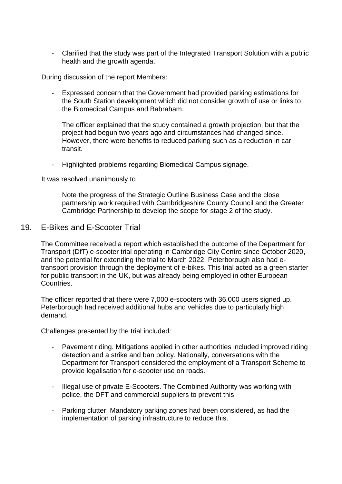- Clarified that the study was part of the Integrated Transport Solution with a public health and the growth agenda.

During discussion of the report Members:

- Expressed concern that the Government had provided parking estimations for the South Station development which did not consider growth of use or links to the Biomedical Campus and Babraham.

The officer explained that the study contained a growth projection, but that the project had begun two years ago and circumstances had changed since. However, there were benefits to reduced parking such as a reduction in car transit.

- Highlighted problems regarding Biomedical Campus signage.

It was resolved unanimously to

Note the progress of the Strategic Outline Business Case and the close partnership work required with Cambridgeshire County Council and the Greater Cambridge Partnership to develop the scope for stage 2 of the study.

19. E-Bikes and E-Scooter Trial

The Committee received a report which established the outcome of the Department for Transport (DfT) e-scooter trial operating in Cambridge City Centre since October 2020, and the potential for extending the trial to March 2022. Peterborough also had etransport provision through the deployment of e-bikes. This trial acted as a green starter for public transport in the UK, but was already being employed in other European Countries.

The officer reported that there were 7,000 e-scooters with 36,000 users signed up. Peterborough had received additional hubs and vehicles due to particularly high demand.

Challenges presented by the trial included:

- Pavement riding. Mitigations applied in other authorities included improved riding detection and a strike and ban policy. Nationally, conversations with the Department for Transport considered the employment of a Transport Scheme to provide legalisation for e-scooter use on roads.
- Illegal use of private E-Scooters. The Combined Authority was working with police, the DFT and commercial suppliers to prevent this.
- Parking clutter. Mandatory parking zones had been considered, as had the implementation of parking infrastructure to reduce this.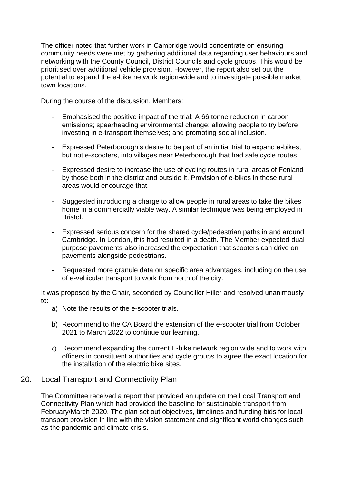The officer noted that further work in Cambridge would concentrate on ensuring community needs were met by gathering additional data regarding user behaviours and networking with the County Council, District Councils and cycle groups. This would be prioritised over additional vehicle provision. However, the report also set out the potential to expand the e-bike network region-wide and to investigate possible market town locations.

During the course of the discussion, Members:

- Emphasised the positive impact of the trial: A 66 tonne reduction in carbon emissions; spearheading environmental change; allowing people to try before investing in e-transport themselves; and promoting social inclusion.
- Expressed Peterborough's desire to be part of an initial trial to expand e-bikes, but not e-scooters, into villages near Peterborough that had safe cycle routes.
- Expressed desire to increase the use of cycling routes in rural areas of Fenland by those both in the district and outside it. Provision of e-bikes in these rural areas would encourage that.
- Suggested introducing a charge to allow people in rural areas to take the bikes home in a commercially viable way. A similar technique was being employed in Bristol.
- Expressed serious concern for the shared cycle/pedestrian paths in and around Cambridge. In London, this had resulted in a death. The Member expected dual purpose pavements also increased the expectation that scooters can drive on pavements alongside pedestrians.
- Requested more granule data on specific area advantages, including on the use of e-vehicular transport to work from north of the city.

It was proposed by the Chair, seconded by Councillor Hiller and resolved unanimously to:

- a) Note the results of the e-scooter trials.
- b) Recommend to the CA Board the extension of the e-scooter trial from October 2021 to March 2022 to continue our learning.
- c) Recommend expanding the current E-bike network region wide and to work with officers in constituent authorities and cycle groups to agree the exact location for the installation of the electric bike sites.

## 20. Local Transport and Connectivity Plan

The Committee received a report that provided an update on the Local Transport and Connectivity Plan which had provided the baseline for sustainable transport from February/March 2020. The plan set out objectives, timelines and funding bids for local transport provision in line with the vision statement and significant world changes such as the pandemic and climate crisis.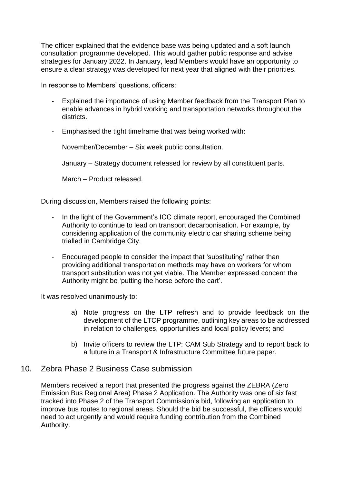The officer explained that the evidence base was being updated and a soft launch consultation programme developed. This would gather public response and advise strategies for January 2022. In January, lead Members would have an opportunity to ensure a clear strategy was developed for next year that aligned with their priorities.

In response to Members' questions, officers:

- Explained the importance of using Member feedback from the Transport Plan to enable advances in hybrid working and transportation networks throughout the districts.
- Emphasised the tight timeframe that was being worked with:

November/December – Six week public consultation.

January – Strategy document released for review by all constituent parts.

March – Product released.

During discussion, Members raised the following points:

- In the light of the Government's ICC climate report, encouraged the Combined Authority to continue to lead on transport decarbonisation. For example, by considering application of the community electric car sharing scheme being trialled in Cambridge City.
- Encouraged people to consider the impact that 'substituting' rather than providing additional transportation methods may have on workers for whom transport substitution was not yet viable. The Member expressed concern the Authority might be 'putting the horse before the cart'.

It was resolved unanimously to:

- a) Note progress on the LTP refresh and to provide feedback on the development of the LTCP programme, outlining key areas to be addressed in relation to challenges, opportunities and local policy levers; and
- b) Invite officers to review the LTP: CAM Sub Strategy and to report back to a future in a Transport & Infrastructure Committee future paper.
- 10. Zebra Phase 2 Business Case submission

Members received a report that presented the progress against the ZEBRA (Zero Emission Bus Regional Area) Phase 2 Application. The Authority was one of six fast tracked into Phase 2 of the Transport Commission's bid, following an application to improve bus routes to regional areas. Should the bid be successful, the officers would need to act urgently and would require funding contribution from the Combined Authority.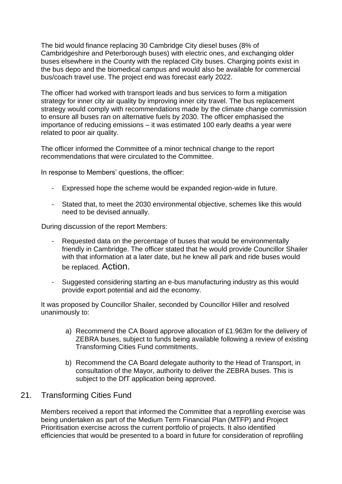The bid would finance replacing 30 Cambridge City diesel buses (8% of Cambridgeshire and Peterborough buses) with electric ones, and exchanging older buses elsewhere in the County with the replaced City buses. Charging points exist in the bus depo and the biomedical campus and would also be available for commercial bus/coach travel use. The project end was forecast early 2022.

The officer had worked with transport leads and bus services to form a mitigation strategy for inner city air quality by improving inner city travel. The bus replacement strategy would comply with recommendations made by the climate change commission to ensure all buses ran on alternative fuels by 2030. The officer emphasised the importance of reducing emissions – it was estimated 100 early deaths a year were related to poor air quality.

The officer informed the Committee of a minor technical change to the report recommendations that were circulated to the Committee.

In response to Members' questions, the officer:

- Expressed hope the scheme would be expanded region-wide in future.
- Stated that, to meet the 2030 environmental objective, schemes like this would need to be devised annually.

During discussion of the report Members:

- Requested data on the percentage of buses that would be environmentally friendly in Cambridge. The officer stated that he would provide Councillor Shailer with that information at a later date, but he knew all park and ride buses would be replaced. Action.
- Suggested considering starting an e-bus manufacturing industry as this would provide export potential and aid the economy.

It was proposed by Councillor Shailer, seconded by Councillor Hiller and resolved unanimously to:

- a) Recommend the CA Board approve allocation of £1.963m for the delivery of ZEBRA buses, subject to funds being available following a review of existing Transforming Cities Fund commitments.
- b) Recommend the CA Board delegate authority to the Head of Transport, in consultation of the Mayor, authority to deliver the ZEBRA buses. This is subject to the DfT application being approved.

## 21. Transforming Cities Fund

Members received a report that informed the Committee that a reprofiling exercise was being undertaken as part of the Medium Term Financial Plan (MTFP) and Project Prioritisation exercise across the current portfolio of projects. It also identified efficiencies that would be presented to a board in future for consideration of reprofiling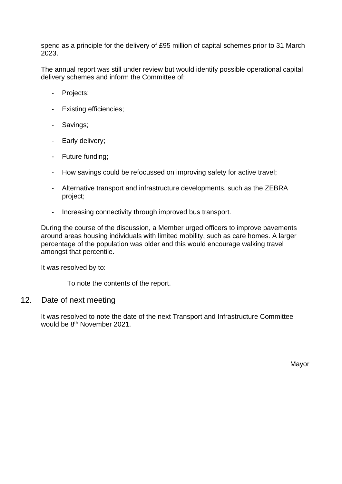spend as a principle for the delivery of £95 million of capital schemes prior to 31 March 2023.

The annual report was still under review but would identify possible operational capital delivery schemes and inform the Committee of:

- Projects;
- Existing efficiencies;
- Savings;
- Early delivery;
- Future funding;
- How savings could be refocussed on improving safety for active travel;
- Alternative transport and infrastructure developments, such as the ZEBRA project;
- Increasing connectivity through improved bus transport.

During the course of the discussion, a Member urged officers to improve pavements around areas housing individuals with limited mobility, such as care homes. A larger percentage of the population was older and this would encourage walking travel amongst that percentile.

It was resolved by to:

To note the contents of the report.

#### 12. Date of next meeting

It was resolved to note the date of the next Transport and Infrastructure Committee would be 8<sup>th</sup> November 2021.

Mayor